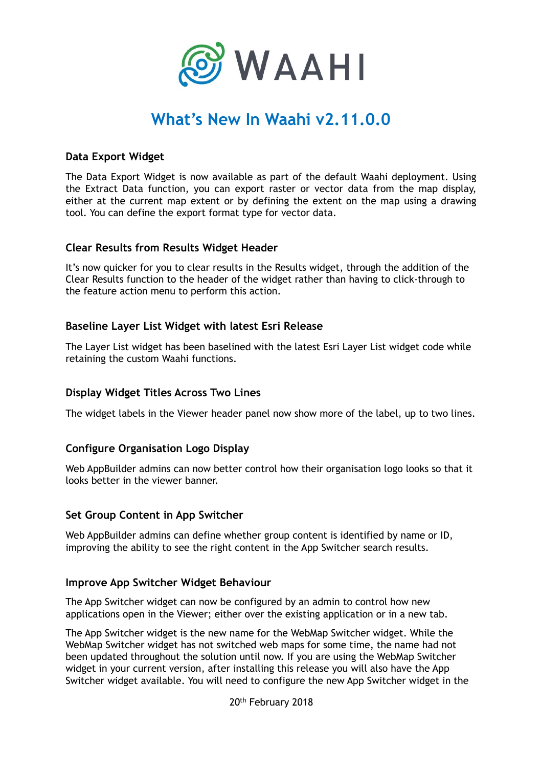

# **What's New In Waahi v2.11.0.0**

## **Data Export Widget**

The Data Export Widget is now available as part of the default Waahi deployment. Using the Extract Data function, you can export raster or vector data from the map display, either at the current map extent or by defining the extent on the map using a drawing tool. You can define the export format type for vector data.

#### **Clear Results from Results Widget Header**

It's now quicker for you to clear results in the Results widget, through the addition of the Clear Results function to the header of the widget rather than having to click-through to the feature action menu to perform this action.

#### **Baseline Layer List Widget with latest Esri Release**

The Layer List widget has been baselined with the latest Esri Layer List widget code while retaining the custom Waahi functions.

## **Display Widget Titles Across Two Lines**

The widget labels in the Viewer header panel now show more of the label, up to two lines.

## **Configure Organisation Logo Display**

Web AppBuilder admins can now better control how their organisation logo looks so that it looks better in the viewer banner.

#### **Set Group Content in App Switcher**

Web AppBuilder admins can define whether group content is identified by name or ID, improving the ability to see the right content in the App Switcher search results.

#### **Improve App Switcher Widget Behaviour**

The App Switcher widget can now be configured by an admin to control how new applications open in the Viewer; either over the existing application or in a new tab.

The App Switcher widget is the new name for the WebMap Switcher widget. While the WebMap Switcher widget has not switched web maps for some time, the name had not been updated throughout the solution until now. If you are using the WebMap Switcher widget in your current version, after installing this release you will also have the App Switcher widget available. You will need to configure the new App Switcher widget in the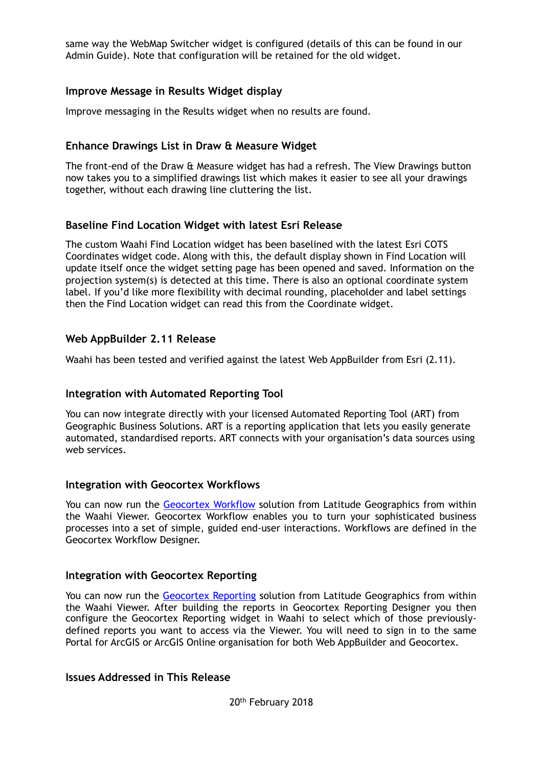same way the WebMap Switcher widget is configured (details of this can be found in our Admin Guide). Note that configuration will be retained for the old widget.

## **Improve Message in Results Widget display**

Improve messaging in the Results widget when no results are found.

## **Enhance Drawings List in Draw & Measure Widget**

The front-end of the Draw & Measure widget has had a refresh. The View Drawings button now takes you to a simplified drawings list which makes it easier to see all your drawings together, without each drawing line cluttering the list.

#### **Baseline Find Location Widget with latest Esri Release**

The custom Waahi Find Location widget has been baselined with the latest Esri COTS Coordinates widget code. Along with this, the default display shown in Find Location will update itself once the widget setting page has been opened and saved. Information on the projection system(s) is detected at this time. There is also an optional coordinate system label. If you'd like more flexibility with decimal rounding, placeholder and label settings then the Find Location widget can read this from the Coordinate widget.

#### **Web AppBuilder 2.11 Release**

Waahi has been tested and verified against the latest Web AppBuilder from Esri (2.11).

#### **Integration with Automated Reporting Tool**

You can now integrate directly with your licensed Automated Reporting Tool (ART) from Geographic Business Solutions. ART is a reporting application that lets you easily generate automated, standardised reports. ART connects with your organisation's data sources using web services.

#### **Integration with Geocortex Workflows**

You can now run the [Geocortex Workflow](https://www.geocortex.com/products/geocortex-workflow/) solution from Latitude Geographics from within the Waahi Viewer. Geocortex Workflow enables you to turn your sophisticated business processes into a set of simple, guided end-user interactions. Workflows are defined in the Geocortex Workflow Designer.

#### **Integration with Geocortex Reporting**

You can now run the [Geocortex Reporting](https://www.geocortex.com/products/geocortex-reporting/) solution from Latitude Geographics from within the Waahi Viewer. After building the reports in Geocortex Reporting Designer you then configure the Geocortex Reporting widget in Waahi to select which of those previouslydefined reports you want to access via the Viewer. You will need to sign in to the same Portal for ArcGIS or ArcGIS Online organisation for both Web AppBuilder and Geocortex.

## **Issues Addressed in This Release**